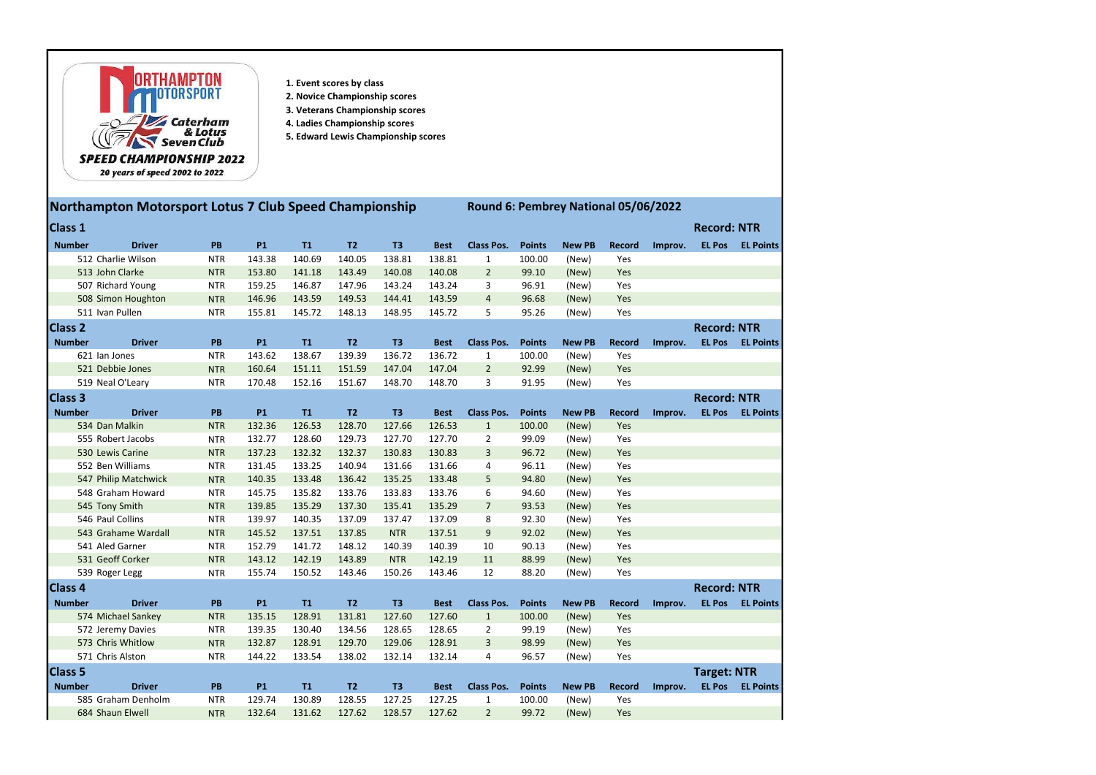

- 1. Event scores by class
- 2. Novice Championship scores
- 3. Veterans Championship scores
- 4. Ladies Championship scores
- 5. Edward Lewis Championship scores

## Northampton Motorsport Lotus 7 Club Speed Championship Round 6: Pembrey National 05/06/2022

| <b>Class 1</b>  |                      |            |           |           |                |                |             |                   |               |               |               |         | <b>Record: NTR</b> |                          |
|-----------------|----------------------|------------|-----------|-----------|----------------|----------------|-------------|-------------------|---------------|---------------|---------------|---------|--------------------|--------------------------|
| <b>Number</b>   | <b>Driver</b>        | PB         | <b>P1</b> | <b>T1</b> | T2             | T <sub>3</sub> | <b>Best</b> | <b>Class Pos.</b> | <b>Points</b> | <b>New PB</b> | <b>Record</b> | Improv. | <b>EL Pos</b>      | <b>EL Points</b>         |
|                 | 512 Charlie Wilson   | <b>NTR</b> | 143.38    | 140.69    | 140.05         | 138.81         | 138.81      | $\mathbf{1}$      | 100.00        | (New)         | Yes           |         |                    |                          |
| 513 John Clarke |                      | <b>NTR</b> | 153.80    | 141.18    | 143.49         | 140.08         | 140.08      | $\overline{2}$    | 99.10         | (New)         | Yes           |         |                    |                          |
|                 | 507 Richard Young    | <b>NTR</b> | 159.25    | 146.87    | 147.96         | 143.24         | 143.24      | 3                 | 96.91         | (New)         | Yes           |         |                    |                          |
|                 | 508 Simon Houghton   | <b>NTR</b> | 146.96    | 143.59    | 149.53         | 144.41         | 143.59      | $\overline{4}$    | 96.68         | (New)         | Yes           |         |                    |                          |
|                 | 511 Ivan Pullen      | <b>NTR</b> | 155.81    | 145.72    | 148.13         | 148.95         | 145.72      | 5                 | 95.26         | (New)         | Yes           |         |                    |                          |
| <b>Class 2</b>  |                      |            |           |           |                |                |             |                   |               |               |               |         | <b>Record: NTR</b> |                          |
| <b>Number</b>   | <b>Driver</b>        | PB         | <b>P1</b> | T1        | T <sub>2</sub> | T <sub>3</sub> | <b>Best</b> | <b>Class Pos.</b> | <b>Points</b> | <b>New PB</b> | <b>Record</b> | Improv. | <b>EL Pos</b>      | <b>EL Points</b>         |
|                 | 621 Ian Jones        | <b>NTR</b> | 143.62    | 138.67    | 139.39         | 136.72         | 136.72      | $\mathbf{1}$      | 100.00        | (New)         | Yes           |         |                    |                          |
|                 | 521 Debbie Jones     | <b>NTR</b> | 160.64    | 151.11    | 151.59         | 147.04         | 147.04      | $\overline{2}$    | 92.99         | (New)         | Yes           |         |                    |                          |
|                 | 519 Neal O'Leary     | <b>NTR</b> | 170.48    | 152.16    | 151.67         | 148.70         | 148.70      | 3                 | 91.95         | (New)         | Yes           |         |                    |                          |
| <b>Class 3</b>  |                      |            |           |           |                |                |             |                   |               |               |               |         | <b>Record: NTR</b> |                          |
| <b>Number</b>   | <b>Driver</b>        | PB         | <b>P1</b> | T1        | T <sub>2</sub> | T <sub>3</sub> | <b>Best</b> | <b>Class Pos.</b> | <b>Points</b> | <b>New PB</b> | <b>Record</b> | Improv. | <b>EL Pos</b>      | <b>EL Points</b>         |
|                 | 534 Dan Malkin       | <b>NTR</b> | 132.36    | 126.53    | 128.70         | 127.66         | 126.53      | $\mathbf{1}$      | 100.00        | (New)         | Yes           |         |                    |                          |
|                 | 555 Robert Jacobs    | <b>NTR</b> | 132.77    | 128.60    | 129.73         | 127.70         | 127.70      | $\overline{2}$    | 99.09         | (New)         | Yes           |         |                    |                          |
|                 | 530 Lewis Carine     | <b>NTR</b> | 137.23    | 132.32    | 132.37         | 130.83         | 130.83      | 3                 | 96.72         | (New)         | Yes           |         |                    |                          |
|                 | 552 Ben Williams     | <b>NTR</b> | 131.45    | 133.25    | 140.94         | 131.66         | 131.66      | 4                 | 96.11         | (New)         | Yes           |         |                    |                          |
|                 | 547 Philip Matchwick | <b>NTR</b> | 140.35    | 133.48    | 136.42         | 135.25         | 133.48      | 5                 | 94.80         | (New)         | Yes           |         |                    |                          |
|                 | 548 Graham Howard    | <b>NTR</b> | 145.75    | 135.82    | 133.76         | 133.83         | 133.76      | 6                 | 94.60         | (New)         | Yes           |         |                    |                          |
|                 | 545 Tony Smith       | <b>NTR</b> | 139.85    | 135.29    | 137.30         | 135.41         | 135.29      | $\overline{7}$    | 93.53         | (New)         | Yes           |         |                    |                          |
|                 | 546 Paul Collins     | <b>NTR</b> | 139.97    | 140.35    | 137.09         | 137.47         | 137.09      | 8                 | 92.30         | (New)         | Yes           |         |                    |                          |
|                 | 543 Grahame Wardall  | <b>NTR</b> | 145.52    | 137.51    | 137.85         | <b>NTR</b>     | 137.51      | 9                 | 92.02         | (New)         | Yes           |         |                    |                          |
|                 | 541 Aled Garner      | <b>NTR</b> | 152.79    | 141.72    | 148.12         | 140.39         | 140.39      | 10                | 90.13         | (New)         | Yes           |         |                    |                          |
|                 | 531 Geoff Corker     | <b>NTR</b> | 143.12    | 142.19    | 143.89         | <b>NTR</b>     | 142.19      | 11                | 88.99         | (New)         | Yes           |         |                    |                          |
|                 | 539 Roger Legg       | <b>NTR</b> | 155.74    | 150.52    | 143.46         | 150.26         | 143.46      | 12                | 88.20         | (New)         | Yes           |         |                    |                          |
| <b>Class 4</b>  |                      |            |           |           |                |                |             |                   |               |               |               |         | <b>Record: NTR</b> |                          |
| <b>Number</b>   | <b>Driver</b>        | PB         | <b>P1</b> | T1        | T <sub>2</sub> | T <sub>3</sub> | <b>Best</b> | <b>Class Pos.</b> | <b>Points</b> | <b>New PB</b> | <b>Record</b> | Improv. | <b>EL Pos</b>      | <b>EL Points</b>         |
|                 | 574 Michael Sankey   | <b>NTR</b> | 135.15    | 128.91    | 131.81         | 127.60         | 127.60      | $\mathbf{1}$      | 100.00        | (New)         | Yes           |         |                    |                          |
|                 | 572 Jeremy Davies    | <b>NTR</b> | 139.35    | 130.40    | 134.56         | 128.65         | 128.65      | 2                 | 99.19         | (New)         | Yes           |         |                    |                          |
|                 | 573 Chris Whitlow    | <b>NTR</b> | 132.87    | 128.91    | 129.70         | 129.06         | 128.91      | 3                 | 98.99         | (New)         | Yes           |         |                    |                          |
|                 | 571 Chris Alston     | <b>NTR</b> | 144.22    | 133.54    | 138.02         | 132.14         | 132.14      | 4                 | 96.57         | (New)         | Yes           |         |                    |                          |
| Class 5         |                      |            |           |           |                |                |             |                   |               |               |               |         | <b>Target: NTR</b> |                          |
| <b>Number</b>   | <b>Driver</b>        | PB         | <b>P1</b> | T1        | T2             | T3             | <b>Best</b> | <b>Class Pos.</b> | <b>Points</b> | <b>New PB</b> | <b>Record</b> |         |                    | Improv. EL Pos EL Points |
|                 | 585 Graham Denholm   | <b>NTR</b> | 129.74    | 130.89    | 128.55         | 127.25         | 127.25      | 1                 | 100.00        | (New)         | Yes           |         |                    |                          |
|                 | 684 Shaun Elwell     | <b>NTR</b> | 132.64    | 131.62    | 127.62         | 128.57         | 127.62      | $\overline{2}$    | 99.72         | (New)         | Yes           |         |                    |                          |
|                 |                      |            |           |           |                |                |             |                   |               |               |               |         |                    |                          |